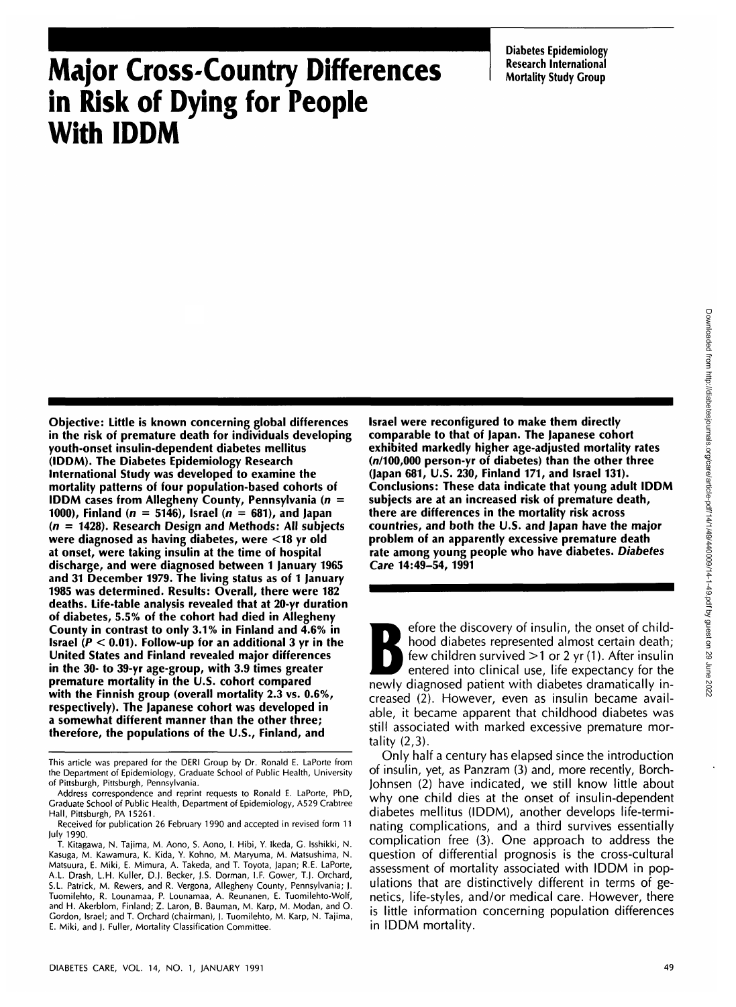**Diabetes Epidemiology Research International Mortality Study Group**

# **Major Cross-Country Differences in Risk of Dying for People With IDDM**

**Objective: Little is known concerning global differences in the risk of premature death for individuals developing youth-onset insulin-dependent diabetes mellitus (IDDM). The Diabetes Epidemiology Research International Study was developed to examine the mortality patterns of four population-based cohorts of IDDM cases from Allegheny County, Pennsylvania (n = 1000), Finland (n = 5146), Israel (n = 681), and Japan (n = 1428). Research Design and Methods: All subjects were diagnosed as having diabetes, were <18 yr old at onset, were taking insulin at the time of hospital discharge, and were diagnosed between 1 January 1965 and 31 December 1979. The living status as of 1 January 1985 was determined. Results: Overall, there were 182 deaths. Life-table analysis revealed that at 20-yr duration of diabetes, 5.5% of the cohort had died in Allegheny County in contrast to only 3.1% in Finland and 4.6% in Israel (P < 0.01). Follow-up for an additional 3 yr in the United States and Finland revealed major differences in the 30- to 39-yr age-group, with 3.9 times greater premature mortality in the U.S. cohort compared with the Finnish group (overall mortality 2.3 vs. 0.6%, respectively). The Japanese cohort was developed in a somewhat different manner than the other three; therefore, the populations of the U.S., Finland, and**

**Israel were reconfigured to make them directly comparable to that of Japan. The Japanese cohort exhibited markedly higher age-adjusted mortality rates (n/100,000 person-yr of diabetes) than the other three (Japan 681, U.S. 230, Finland 171, and Israel 131). Conclusions: These data indicate that young adult IDDM subjects are at an increased risk of premature death, there are differences in the mortality risk across countries, and both the U.S. and Japan have the major problem of an apparently excessive premature death rate among young people who have diabetes. Diabetes Care 14:49-54, 1991**

Fore the discovery of insulin, the onset of child-<br>
hood diabetes represented almost certain death;<br>
few children survived >1 or 2 yr (1). After insulin<br>
entered into clinical use, life expectancy for the<br>
newly diagnosed hood diabetes represented almost certain death; few children survived  $>1$  or 2 yr (1). After insulin newly diagnosed patient with diabetes dramatically increased (2). However, even as insulin became available, it became apparent that childhood diabetes was still associated with marked excessive premature mortality (2,3).

Only half a century has elapsed since the introduction of insulin, yet, as Panzram (3) and, more recently, Borch-Johnsen (2) have indicated, we still know little about why one child dies at the onset of insulin-dependent diabetes mellitus (IDDM), another develops life-terminating complications, and a third survives essentially complication free (3). One approach to address the question of differential prognosis is the cross-cultural assessment of mortality associated with IDDM in populations that are distinctively different in terms of genetics, life-styles, and/or medical care. However, there is little information concerning population differences in IDDM mortality.

This article was prepared for the DERI Group by Dr. Ronald E. LaPorte from the Department of Epidemiology, Graduate School of Public Health, University of Pittsburgh, Pittsburgh, Pennsylvania.

Address correspondence and reprint requests to Ronald E. LaPorte, PhD, Graduate School of Public Health, Department of Epidemiology, A529 Crabtree Hall, Pittsburgh, PA 15261.

Received for publication 26 February 1990 and accepted in revised form 11 July 1990.

T. Kitagawa, N. Tajima, M. Aono, S. Aono, I. Hibi, Y. Ikeda, G. Isshikki, N. Kasuga, M. Kawamura, K. Kida, Y. Kohno, M. Maryuma, M. Matsushima, N. Matsuura, E. Miki, E. Mimura, A. Takeda, and T. Toyota, Japan; R.E. LaPorte, A.L. Drash, L.H. Kuller, D.J. Becker, J.S. Dorman, I.F. Gower, T.J. Orchard, S.L. Patrick, M. Rewers, and R. Vergona, Allegheny County, Pennsylvania; ). Tuomilehto, R. Lounamaa, P. Lounamaa, A. Reunanen, E. Tuomilehto-Wolf, and H. Akerblom, Finland; Z. Laron, B. Bauman, M. Karp, M. Modan, and O. Gordon, Israel; and T. Orchard (chairman), ). Tuomilehto, M. Karp, N. Tajima, E. Miki, and J. Fuller, Mortality Classification Committee.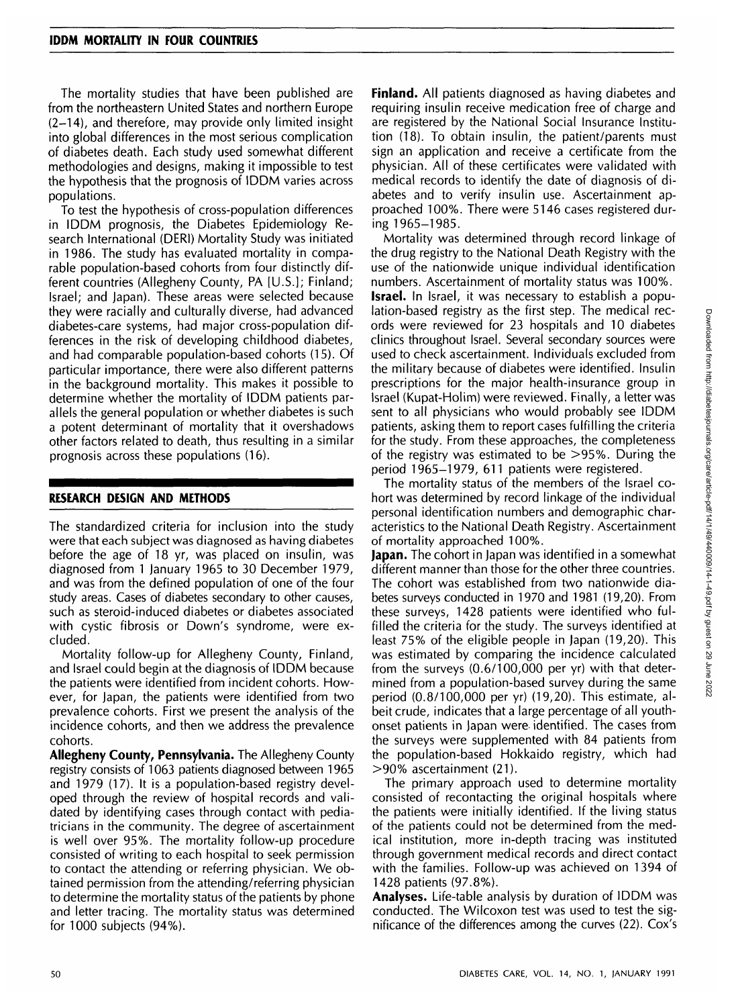The mortality studies that have been published are from the northeastern United States and northern Europe (2-14), and therefore, may provide only limited insight into global differences in the most serious complication of diabetes death. Each study used somewhat different methodologies and designs, making it impossible to test the hypothesis that the prognosis of IDDM varies across populations.

To test the hypothesis of cross-population differences in IDDM prognosis, the Diabetes Epidemiology Research International (DERI) Mortality Study was initiated in 1986. The study has evaluated mortality in comparable population-based cohorts from four distinctly different countries (Allegheny County, PA [U.S.]; Finland; Israel; and Japan). These areas were selected because they were racially and culturally diverse, had advanced diabetes-care systems, had major cross-population differences in the risk of developing childhood diabetes, and had comparable population-based cohorts (15). Of particular importance, there were also different patterns in the background mortality. This makes it possible to determine whether the mortality of IDDM patients parallels the general population or whether diabetes is such a potent determinant of mortality that it overshadows other factors related to death, thus resulting in a similar prognosis across these populations (16).

#### **RESEARCH DESIGN AND METHODS**

The standardized criteria for inclusion into the study were that each subject was diagnosed as having diabetes before the age of 18 yr, was placed on insulin, was diagnosed from 1 January 1965 to 30 December 1979, and was from the defined population of one of the four study areas. Cases of diabetes secondary to other causes, such as steroid-induced diabetes or diabetes associated with cystic fibrosis or Down's syndrome, were excluded.

Mortality follow-up for Allegheny County, Finland, and Israel could begin at the diagnosis of IDDM because the patients were identified from incident cohorts. However, for Japan, the patients were identified from two prevalence cohorts. First we present the analysis of the incidence cohorts, and then we address the prevalence cohorts.

**Allegheny County, Pennsylvania.** The Allegheny County registry consists of 1063 patients diagnosed between 1965 and 1979 (17). It is a population-based registry developed through the review of hospital records and validated by identifying cases through contact with pediatricians in the community. The degree of ascertainment is well over 95%. The mortality follow-up procedure consisted of writing to each hospital to seek permission to contact the attending or referring physician. We obtained permission from the attending/referring physician to determine the mortality status of the patients by phone and letter tracing. The mortality status was determined for 1000 subjects (94%).

**Finland.** All patients diagnosed as having diabetes and requiring insulin receive medication free of charge and are registered by the National Social Insurance Institution (18). To obtain insulin, the patient/parents must sign an application and receive a certificate from the physician. All of these certificates were validated with medical records to identify the date of diagnosis of diabetes and to verify insulin use. Ascertainment approached 100%. There were 5146 cases registered during 1965-1985.

Mortality was determined through record linkage of the drug registry to the National Death Registry with the use of the nationwide unique individual identification numbers. Ascertainment of mortality status was 100%. **Israel.** In Israel, it was necessary to establish a population-based registry as the first step. The medical records were reviewed for 23 hospitals and 10 diabetes clinics throughout Israel. Several secondary sources were used to check ascertainment. Individuals excluded from the military because of diabetes were identified. Insulin prescriptions for the major health-insurance group in Israel (Kupat-Holim) were reviewed. Finally, a letter was sent to all physicians who would probably see IDDM patients, asking them to report cases fulfilling the criteria for the study. From these approaches, the completeness of the registry was estimated to be >95%. During the period 1965-1979, 611 patients were registered.

The mortality status of the members of the Israel cohort was determined by record linkage of the individual personal identification numbers and demographic characteristics to the National Death Registry. Ascertainment of mortality approached 100%.

**Japan.** The cohort in Japan was identified in a somewhat different manner than those for the other three countries. The cohort was established from two nationwide diabetes surveys conducted in 1970 and 1981 (19,20). From these surveys, 1428 patients were identified who fulfilled the criteria for the study. The surveys identified at least 75% of the eligible people in Japan (19,20). This was estimated by comparing the incidence calculated from the surveys (0.6/100,000 per yr) with that determined from a population-based survey during the same period (0.8/100,000 per yr) (19,20). This estimate, albeit crude, indicates that a large percentage of all youthonset patients in Japan were- identified. The cases from the surveys were supplemented with 84 patients from the population-based Hokkaido registry, which had >90% ascertainment (21).

The primary approach used to determine mortality consisted of recontacting the original hospitals where the patients were initially identified. If the living status of the patients could not be determined from the medical institution, more in-depth tracing was instituted through government medical records and direct contact with the families. Follow-up was achieved on 1394 of 1428 patients (97.8%).

**Analyses.** Life-table analysis by duration of IDDM was conducted. The Wilcoxon test was used to test the significance of the differences among the curves (22). Cox's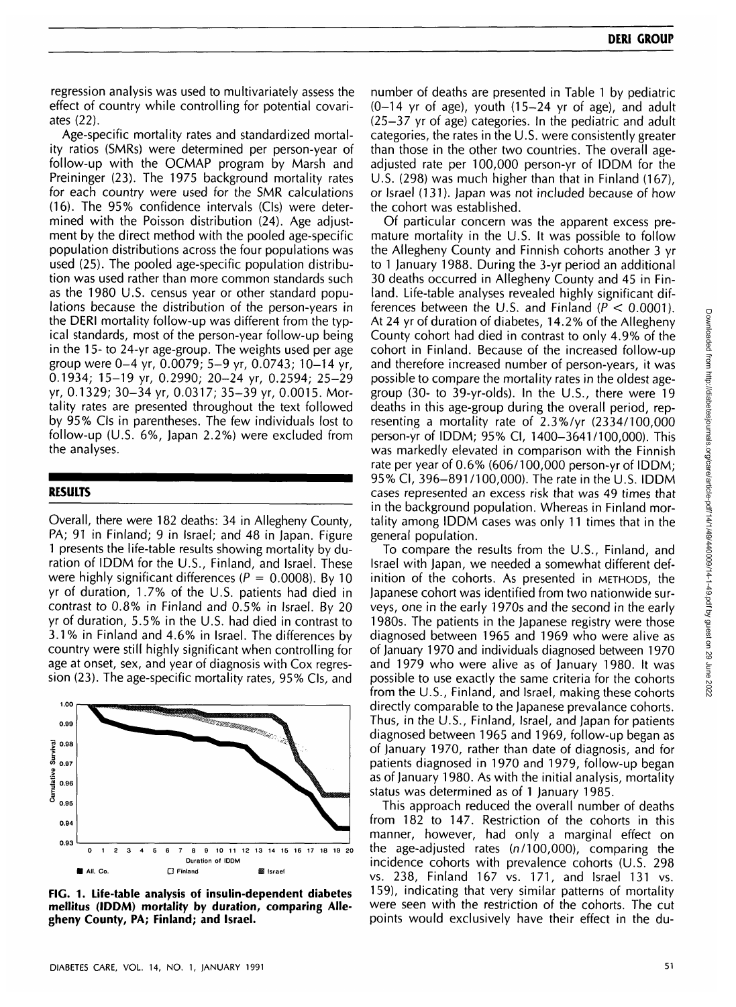regression analysis was used to multivariately assess the effect of country while controlling for potential covariates (22).

Age-specific mortality rates and standardized mortality ratios (SMRs) were determined per person-year of follow-up with the OCMAP program by Marsh and Preininger (23). The 1975 background mortality rates for each country were used for the SMR calculations (16). The 95% confidence intervals (CIs) were determined with the Poisson distribution (24). Age adjustment by the direct method with the pooled age-specific population distributions across the four populations was used (25). The pooled age-specific population distribution was used rather than more common standards such as the 1980 U.S. census year or other standard populations because the distribution of the person-years in the DERI mortality follow-up was different from the typical standards, most of the person-year follow-up being in the 15- to 24-yr age-group. The weights used per age group were 0-4 yr, 0.0079; 5-9 yr, 0.0743; 10-14 yr, 0.1934; 15-19 yr, 0.2990; 20-24 yr, 0.2594; 25-29 yr, 0.1329; 30-34 yr, 0.0317; 35-39 yr, 0.0015. Mortality rates are presented throughout the text followed by 95% CIs in parentheses. The few individuals lost to follow-up (U.S. 6%, Japan 2.2%) were excluded from the analyses.

#### **RESULTS**

Overall, there were 182 deaths: 34 in Allegheny County, PA; 91 in Finland; 9 in Israel; and 48 in Japan. Figure 1 presents the life-table results showing mortality by duration of IDDM for the U.S., Finland, and Israel. These were highly significant differences ( $P = 0.0008$ ). By 10 yr of duration, 1.7% of the U.S. patients had died in contrast to 0.8% in Finland and 0.5% in Israel. By 20 yr of duration, 5.5% in the U.S. had died in contrast to 3.1% in Finland and 4.6% in Israel. The differences by country were still highly significant when controlling for age at onset, sex, and year of diagnosis with Cox regression (23). The age-specific mortality rates, 95% CIs, and



**FIG. 1. Life-table analysis of insulin-dependent diabetes mellitus (IDDM) mortality by duration, comparing Allegheny County, PA; Finland; and Israel.**

number of deaths are presented in Table 1 by pediatric  $(0-14$  yr of age), youth  $(15-24$  yr of age), and adult (25-37 yr of age) categories. In the pediatric and adult categories, the rates in the U.S. were consistently greater than those in the other two countries. The overall ageadjusted rate per 100,000 person-yr of IDDM for the U.S. (298) was much higher than that in Finland (167), or Israel (131). Japan was not included because of how the cohort was established.

Of particular concern was the apparent excess premature mortality in the U.S. It was possible to follow the Allegheny County and Finnish cohorts another 3 yr to 1 January 1988. During the 3-yr period an additional 30 deaths occurred in Allegheny County and 45 in Finland. Life-table analyses revealed highly significant differences between the U.S. and Finland ( $P < 0.0001$ ). At 24 yr of duration of diabetes, 14.2% of the Allegheny County cohort had died in contrast to only 4.9% of the cohort in Finland. Because of the increased follow-up and therefore increased number of person-years, it was possible to compare the mortality rates in the oldest agegroup (30- to 39-yr-olds). In the U.S., there were 19 deaths in this age-group during the overall period, representing a mortality rate of 2.3%/yr (2334/100,000 person-yr of IDDM; 95% Cl, 1400-3641/100,000). This was markedly elevated in comparison with the Finnish rate per year of 0.6% (606/100,000 person-yr of IDDM; 95% Cl, 396-891 /100,000). The rate in the U.S. IDDM cases represented an excess risk that was 49 times that in the background population. Whereas in Finland mortality among IDDM cases was only 11 times that in the general population.

To compare the results from the U.S., Finland, and Israel with Japan, we needed a somewhat different definition of the cohorts. As presented in METHODS, the Japanese cohort was identified from two nationwide surveys, one in the early 1970s and the second in the early 1980s. The patients in the Japanese registry were those diagnosed between 1965 and 1969 who were alive as of January 1970 and individuals diagnosed between 1970 and 1979 who were alive as of January 1980. It was possible to use exactly the same criteria for the cohorts from the U.S., Finland, and Israel, making these cohorts directly comparable to the Japanese prevalance cohorts. Thus, in the U.S., Finland, Israel, and Japan for patients diagnosed between 1965 and 1969, follow-up began as of January 1970, rather than date of diagnosis, and for patients diagnosed in 1970 and 1979, follow-up began as of January 1980. As with the initial analysis, mortality status was determined as of 1 January 1985.

This approach reduced the overall number of deaths from 182 to 147. Restriction of the cohorts in this manner, however, had only a marginal effect on the age-adjusted rates (n/100,000), comparing the incidence cohorts with prevalence cohorts (U.S. 298 vs. 238, Finland 167 vs. 171, and Israel 131 vs. 159), indicating that very similar patterns of mortality were seen with the restriction of the cohorts. The cut points would exclusively have their effect in the du-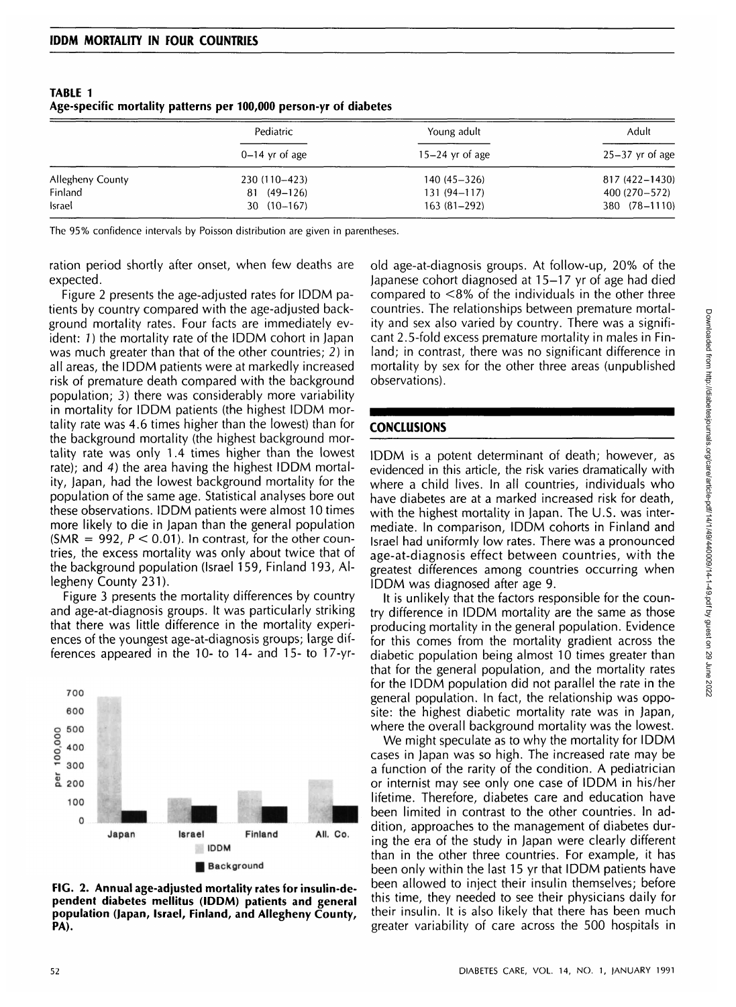|                  | Pediatric<br>$0-14$ yr of age | Young adult<br>$15-24$ yr of age | Adult<br>$25-37$ yr of age |
|------------------|-------------------------------|----------------------------------|----------------------------|
|                  |                               |                                  |                            |
| Allegheny County | 230 (110-423)                 | $140(45 - 326)$                  | 817 (422-1430)             |
| Finland          | $81(49-126)$                  | $131(94 - 117)$                  | 400 (270–572)              |
| Israel           | $30(10-167)$                  | $163(81-292)$                    | 380 (78-1110)              |

**TABLE 1 Age-specific mortality patterns per 100,000 person-yr of diabetes**

The 95% confidence intervals by Poisson distribution are given in parentheses.

ration period shortly after onset, when few deaths are expected.

Figure 2 presents the age-adjusted rates for IDDM patients by country compared with the age-adjusted background mortality rates. Four facts are immediately evident: 7) the mortality rate of the IDDM cohort in Japan was much greater than that of the other countries; 2) in all areas, the IDDM patients were at markedly increased risk of premature death compared with the background population; 3) there was considerably more variability in mortality for IDDM patients (the highest IDDM mortality rate was 4.6 times higher than the lowest) than for the background mortality (the highest background mortality rate was only 1.4 times higher than the lowest rate); and 4) the area having the highest IDDM mortality, Japan, had the lowest background mortality for the population of the same age. Statistical analyses bore out these observations. IDDM patients were almost 10 times more likely to die in Japan than the general population (SMR = 992,  $P < 0.01$ ). In contrast, for the other countries, the excess mortality was only about twice that of the background population (Israel 159, Finland 193, Allegheny County 231).

Figure 3 presents the mortality differences by country and age-at-diagnosis groups. It was particularly striking that there was little difference in the mortality experiences of the youngest age-at-diagnosis groups; large differences appeared in the 10- to 14- and 15- to 17-yr-



**FIG. 2. Annual age-adjusted mortality rates for insulin-dependent diabetes mellitus (IDDM) patients and general population (Japan, Israel, Finland, and Allegheny County, PA).**

old age-at-diagnosis groups. At follow-up, 20% of the Japanese cohort diagnosed at 15-17 yr of age had died compared to <8% of the individuals in the other three countries. The relationships between premature mortality and sex also varied by country. There was a significant 2.5-fold excess premature mortality in males in Finland; in contrast, there was no significant difference in mortality by sex for the other three areas (unpublished observations).

### **CONCLUSIONS**

IDDM is a potent determinant of death; however, as evidenced in this article, the risk varies dramatically with where a child lives. In all countries, individuals who have diabetes are at a marked increased risk for death, with the highest mortality in Japan. The U.S. was intermediate. In comparison, IDDM cohorts in Finland and Israel had uniformly low rates. There was a pronounced age-at-diagnosis effect between countries, with the greatest differences among countries occurring when IDDM was diagnosed after age 9.

It is unlikely that the factors responsible for the country difference in IDDM mortality are the same as those producing mortality in the general population. Evidence for this comes from the mortality gradient across the diabetic population being almost 10 times greater than that for the general population, and the mortality rates for the IDDM population did not parallel the rate in the general population. In fact, the relationship was opposite: the highest diabetic mortality rate was in Japan, where the overall background mortality was the lowest.

We might speculate as to why the mortality for IDDM cases in Japan was so high. The increased rate may be a function of the rarity of the condition. A pediatrician or internist may see only one case of IDDM in his/her lifetime. Therefore, diabetes care and education have been limited in contrast to the other countries. In addition, approaches to the management of diabetes during the era of the study in Japan were clearly different than in the other three countries. For example, it has been only within the last 15 yr that IDDM patients have been allowed to inject their insulin themselves; before this time, they needed to see their physicians daily for their insulin. It is also likely that there has been much greater variability of care across the 500 hospitals in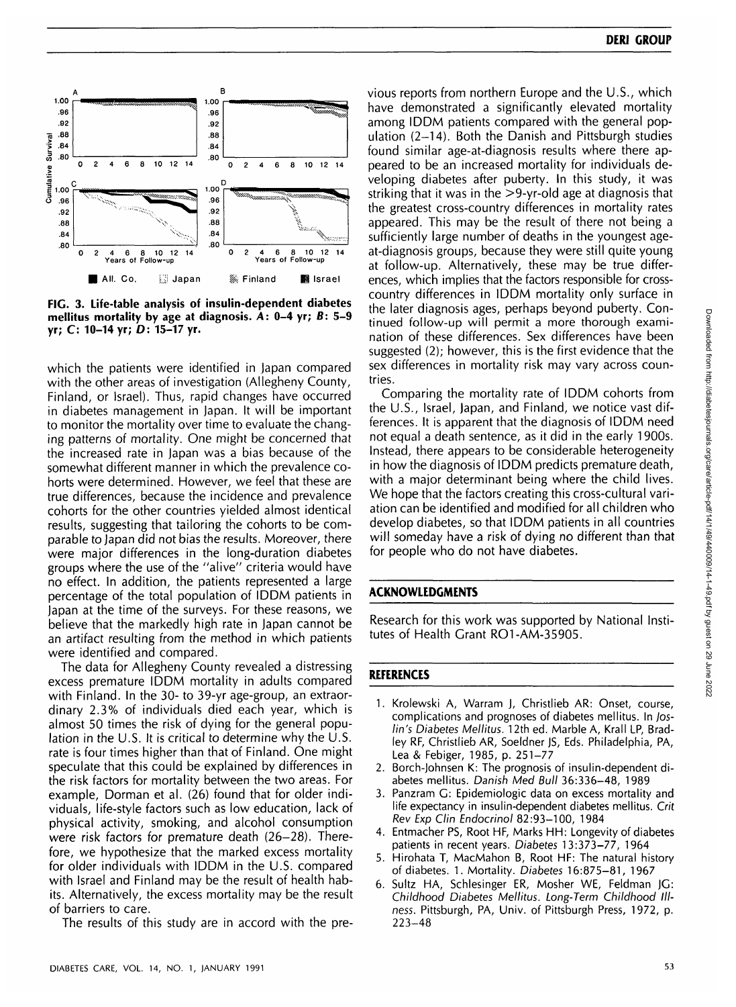

**FIG. 3. Life-table analysis of insulin-dependent diabetes mellitus mortality by age at diagnosis. A: 0-4 yr; B: 5-9 yr; C: 10-14 yr; D: 15-17 yr.**

which the patients were identified in Japan compared with the other areas of investigation (Allegheny County, Finland, or Israel). Thus, rapid changes have occurred in diabetes management in Japan. It will be important to monitor the mortality over time to evaluate the changing patterns of mortality. One might be concerned that the increased rate in Japan was a bias because of the somewhat different manner in which the prevalence cohorts were determined. However, we feel that these are true differences, because the incidence and prevalence cohorts for the other countries yielded almost identical results, suggesting that tailoring the cohorts to be comparable to Japan did not bias the results. Moreover, there were major differences in the long-duration diabetes groups where the use of the "alive" criteria would have no effect. In addition, the patients represented a large percentage of the total population of IDDM patients in Japan at the time of the surveys. For these reasons, we believe that the markedly high rate in Japan cannot be an artifact resulting from the method in which patients were identified and compared.

The data for Allegheny County revealed a distressing excess premature IDDM mortality in adults compared with Finland. In the 30- to 39-yr age-group, an extraordinary 2.3% of individuals died each year, which is almost 50 times the risk of dying for the general population in the U.S. It is critical to determine why the U.S. rate is four times higher than that of Finland. One might speculate that this could be explained by differences in the risk factors for mortality between the two areas. For example, Dorman et al. (26) found that for older individuals, life-style factors such as low education, lack of physical activity, smoking, and alcohol consumption were risk factors for premature death (26-28). Therefore, we hypothesize that the marked excess mortality for older individuals with IDDM in the U.S. compared with Israel and Finland may be the result of health habits. Alternatively, the excess mortality may be the result of barriers to care.

The results of this study are in accord with the pre-

vious reports from northern Europe and the U.S., which have demonstrated a significantly elevated mortality among IDDM patients compared with the general population (2-14). Both the Danish and Pittsburgh studies found similar age-at-diagnosis results where there appeared to be an increased mortality for individuals developing diabetes after puberty. In this study, it was striking that it was in the >9-yr-old age at diagnosis that the greatest cross-country differences in mortality rates appeared. This may be the result of there not being a sufficiently large number of deaths in the youngest ageat-diagnosis groups, because they were still quite young at follow-up. Alternatively, these may be true differences, which implies that the factors responsible for crosscountry differences in IDDM mortality only surface in the later diagnosis ages, perhaps beyond puberty. Continued follow-up will permit a more thorough examination of these differences. Sex differences have been suggested (2); however, this is the first evidence that the sex differences in mortality risk may vary across countries.

Comparing the mortality rate of IDDM cohorts from the U.S., Israel, Japan, and Finland, we notice vast differences. It is apparent that the diagnosis of IDDM need not equal a death sentence, as it did in the early 1900s. Instead, there appears to be considerable heterogeneity in how the diagnosis of IDDM predicts premature death, with a major determinant being where the child lives. We hope that the factors creating this cross-cultural variation can be identified and modified for all children who develop diabetes, so that IDDM patients in all countries will someday have a risk of dying no different than that for people who do not have diabetes.

### **ACKNOWLEDGMENTS**

Research for this work was supported by National Institutes of Health Grant RO1-AM-35905.

## **REFERENCES**

- 1. Krolewski A, Warram J, Christlieb AR: Onset, course, complications and prognoses of diabetes mellitus. In Joslin's Diabetes Mellitus. 12th ed. Marble A, Krall LP, Bradley RF, Christlieb AR, Soeldner JS, Eds. Philadelphia, PA, Lea & Febiger, 1985, p. 251-77
- 2. Borch-Johnsen K: The prognosis of insulin-dependent diabetes mellitus. Danish Med Bull 36:336-48, 1989
- 3. Panzram G: Epidemiologic data on excess mortality and life expectancy in insulin-dependent diabetes mellitus. Crit Rev Exp Clin Endocrinol 82:93-100, 1984
- 4. Entmacher PS, Root HF, Marks HH: Longevity of diabetes patients in recent years. Diabetes 13:373-77, 1964
- 5. Hirohata T, MacMahon B, Root HF: The natural history of diabetes. 1. Mortality. Diabetes 16:875-81, 1967
- 6. Sultz HA, Schlesinger ER, Mosher WE, Feldman JG: Childhood Diabetes Mellitus. Long-Term Childhood Illness. Pittsburgh, PA, Univ. of Pittsburgh Press, 1972, p. 223-48